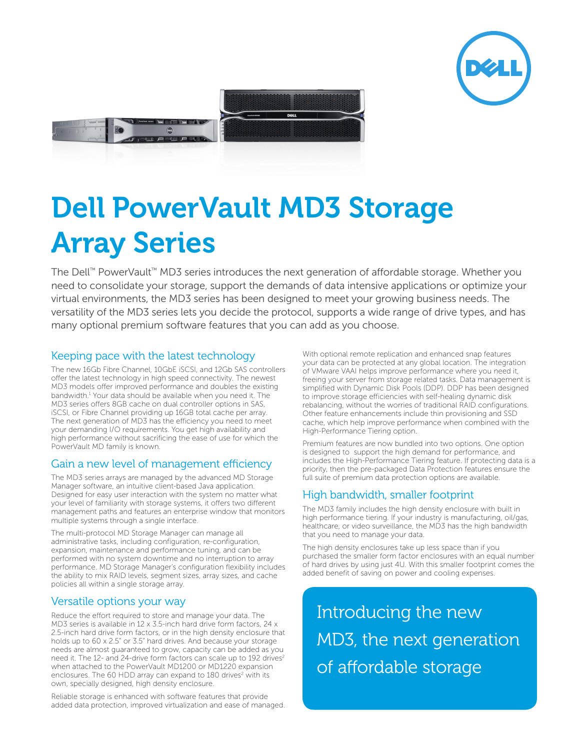



# Dell PowerVault MD3 Storage Array Series

The Dell™ PowerVault™ MD3 series introduces the next generation of affordable storage. Whether you need to consolidate your storage, support the demands of data intensive applications or optimize your virtual environments, the MD3 series has been designed to meet your growing business needs. The versatility of the MD3 series lets you decide the protocol, supports a wide range of drive types, and has many optional premium software features that you can add as you choose.

### Keeping pace with the latest technology

The new 16Gb Fibre Channel, 10GbE iSCSI, and 12Gb SAS controllers offer the latest technology in high speed connectivity. The newest MD3 models offer improved performance and doubles the existing bandwidth.<sup>1</sup> Your data should be available when you need it. The MD3 series offers 8GB cache on dual controller options in SAS, iSCSI, or Fibre Channel providing up 16GB total cache per array. The next generation of MD3 has the efficiency you need to meet your demanding I/O requirements. You get high availability and high performance without sacrificing the ease of use for which the PowerVault MD family is known.

## Gain a new level of management efficiency

The MD3 series arrays are managed by the advanced MD Storage Manager software, an intuitive client-based Java application. Designed for easy user interaction with the system no matter what your level of familiarity with storage systems, it offers two different management paths and features an enterprise window that monitors multiple systems through a single interface.

The multi-protocol MD Storage Manager can manage all administrative tasks, including configuration, re-configuration, expansion, maintenance and performance tuning, and can be performed with no system downtime and no interruption to array performance. MD Storage Manager's configuration flexibility includes the ability to mix RAID levels, segment sizes, array sizes, and cache policies all within a single storage array.

#### Versatile options your way

Reduce the effort required to store and manage your data. The MD3 series is available in 12 x 3.5-inch hard drive form factors, 24 x 2.5-inch hard drive form factors, or in the high density enclosure that holds up to 60 x 2.5" or 3.5" hard drives. And because your storage needs are almost guaranteed to grow, capacity can be added as you need it. The 12- and 24-drive form factors can scale up to 192 drives<sup>2</sup> when attached to the PowerVault MD1200 or MD1220 expansion enclosures. The 60 HDD array can expand to 180 drives<sup>2</sup> with its own, specially designed, high density enclosure.

Reliable storage is enhanced with software features that provide added data protection, improved virtualization and ease of managed. With optional remote replication and enhanced snap features your data can be protected at any global location. The integration of VMware VAAI helps improve performance where you need it, freeing your server from storage related tasks. Data management is simplified with Dynamic Disk Pools (DDP). DDP has been designed to improve storage efficiencies with self-healing dynamic disk rebalancing, without the worries of traditional RAID configurations. Other feature enhancements include thin provisioning and SSD cache, which help improve performance when combined with the High-Performance Tiering option.

Premium features are now bundled into two options. One option is designed to support the high demand for performance, and includes the High-Performance Tiering feature. If protecting data is a priority, then the pre-packaged Data Protection features ensure the full suite of premium data protection options are available.

## High bandwidth, smaller footprint

The MD3 family includes the high density enclosure with built in high performance tiering. If your industry is manufacturing, oil/gas, healthcare, or video surveillance, the MD3 has the high bandwidth that you need to manage your data.

The high density enclosures take up less space than if you purchased the smaller form factor enclosures with an equal number of hard drives by using just 4U. With this smaller footprint comes the added benefit of saving on power and cooling expenses.

Introducing the new MD3, the next generation of affordable storage